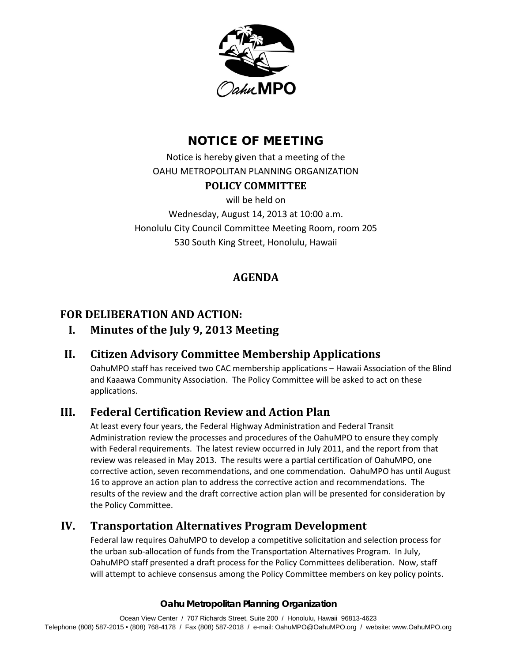

# NOTICE OF MEETING

Notice is hereby given that a meeting of the OAHU METROPOLITAN PLANNING ORGANIZATION

### **POLICY COMMITTEE**

will be held on

Wednesday, August 14, 2013 at 10:00 a.m. Honolulu City Council Committee Meeting Room, room 205 530 South King Street, Honolulu, Hawaii

# **AGENDA**

## **FOR DELIBERATION AND ACTION:**

## **I. Minutes of the July 9, 2013 Meeting**

## **II. Citizen Advisory Committee Membership Applications**

OahuMPO staff has received two CAC membership applications ‒ Hawaii Association of the Blind and Kaaawa Community Association. The Policy Committee will be asked to act on these applications.

## **III. Federal Certification Review and Action Plan**

At least every four years, the Federal Highway Administration and Federal Transit Administration review the processes and procedures of the OahuMPO to ensure they comply with Federal requirements. The latest review occurred in July 2011, and the report from that review was released in May 2013. The results were a partial certification of OahuMPO, one corrective action, seven recommendations, and one commendation. OahuMPO has until August 16 to approve an action plan to address the corrective action and recommendations. The results of the review and the draft corrective action plan will be presented for consideration by the Policy Committee.

## **IV. Transportation Alternatives Program Development**

Federal law requires OahuMPO to develop a competitive solicitation and selection process for the urban sub-allocation of funds from the Transportation Alternatives Program. In July, OahuMPO staff presented a draft process for the Policy Committees deliberation. Now, staff will attempt to achieve consensus among the Policy Committee members on key policy points.

### **Oahu Metropolitan Planning Organization**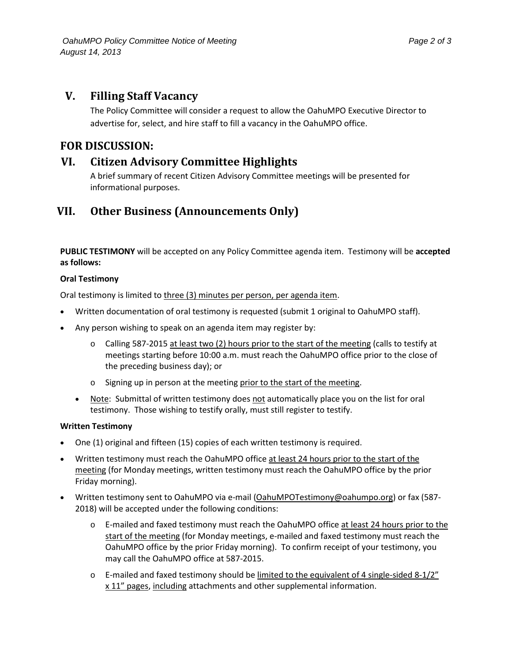### **V. Filling Staff Vacancy**

The Policy Committee will consider a request to allow the OahuMPO Executive Director to advertise for, select, and hire staff to fill a vacancy in the OahuMPO office.

### **FOR DISCUSSION:**

### **VI. Citizen Advisory Committee Highlights**

A brief summary of recent Citizen Advisory Committee meetings will be presented for informational purposes.

## **VII. Other Business (Announcements Only)**

**PUBLIC TESTIMONY** will be accepted on any Policy Committee agenda item. Testimony will be **accepted as follows:** 

### **Oral Testimony**

Oral testimony is limited to three (3) minutes per person, per agenda item.

- Written documentation of oral testimony is requested (submit 1 original to OahuMPO staff).
- Any person wishing to speak on an agenda item may register by:
	- o Calling 587-2015 at least two (2) hours prior to the start of the meeting (calls to testify at meetings starting before 10:00 a.m. must reach the OahuMPO office prior to the close of the preceding business day); or
	- o Signing up in person at the meeting prior to the start of the meeting.
	- Note: Submittal of written testimony does not automatically place you on the list for oral testimony. Those wishing to testify orally, must still register to testify.

#### **Written Testimony**

- One (1) original and fifteen (15) copies of each written testimony is required.
- Written testimony must reach the OahuMPO office at least 24 hours prior to the start of the meeting (for Monday meetings, written testimony must reach the OahuMPO office by the prior Friday morning).
- Written testimony sent to OahuMPO via e-mail (OahuMPOTestimony@oahumpo.org) or fax (587- 2018) will be accepted under the following conditions:
	- o E-mailed and faxed testimony must reach the OahuMPO office at least 24 hours prior to the start of the meeting (for Monday meetings, e-mailed and faxed testimony must reach the OahuMPO office by the prior Friday morning). To confirm receipt of your testimony, you may call the OahuMPO office at 587-2015.
	- $\circ$  E-mailed and faxed testimony should be limited to the equivalent of 4 single-sided 8-1/2" x 11" pages, including attachments and other supplemental information.